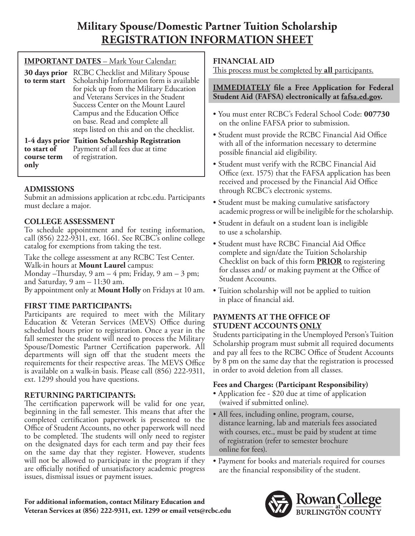# **Military Spouse/Domestic Partner Tuition Scholarship REGISTRATION INFORMATION SHEET**

| <b>IMPORTANT DATES - Mark Your Calendar:</b> |                                                                                                                                                                                                                                                                                                                                    |  |  |
|----------------------------------------------|------------------------------------------------------------------------------------------------------------------------------------------------------------------------------------------------------------------------------------------------------------------------------------------------------------------------------------|--|--|
| 30 days prior<br>to term start               | <b>RCBC Checklist and Military Spouse</b><br>Scholarship Information form is available<br>for pick up from the Military Education<br>and Veterans Services in the Student<br>Success Center on the Mount Laurel<br>Campus and the Education Office<br>on base. Read and complete all<br>steps listed on this and on the checklist. |  |  |
| to start of<br>course term                   | 1-4 days prior Tuition Scholarship Registration<br>Payment of all fees due at time<br>of registration.                                                                                                                                                                                                                             |  |  |
|                                              |                                                                                                                                                                                                                                                                                                                                    |  |  |

## **ADMISSIONS**

**only** 

Submit an admissions application at [rcbc.edu](https://rcbc.edu). Participants must declare a major.

## **COLLEGE ASSESSMENT**

To schedule appointment and for testing information, call (856) 222-9311, ext. 1661. See RCBC's online college catalog for exemptions from taking the test.

Take the college assessment at any RCBC Test Center. Walk-in hours at **Mount Laurel** campus:

Monday –Thursday, 9 am – 4 pm; Friday, 9 am – 3 pm; and Saturday,  $9 \text{ am} - 11:30 \text{ am}.$ 

By appointment only at **Mount Holly** on Fridays at 10 am.

## **FIRST TIME PARTICIPANTS:**

Participants are required to meet with the Military Education & Veteran Services (MEVS) Office during scheduled hours prior to registration. Once a year in the fall semester the student will need to process the Military Spouse/Domestic Partner Certifcation paperwork. All departments will sign of that the student meets the requirements for their respective areas. The MEVS Office is available on a walk-in basis. Please call (856) 222-9311, ext. 1299 should you have questions.

## **RETURNING PARTICIPANTS:**

The certification paperwork will be valid for one year, beginning in the fall semester. This means that after the completed certifcation paperwork is presented to the Office of Student Accounts, no other paperwork will need to be completed. The students will only need to register on the designated days for each term and pay their fees on the same day that they register. However, students will not be allowed to participate in the program if they are officially notified of unsatisfactory academic progress issues, dismissal issues or payment issues.

## **FINANCIAL AID**

This process must be completed by **all** participants.

### **IMMEDIATELY fle a Free Application for Federal Student Aid (FAFSA) electronically at [fafsa.ed.gov.](https://fafsa.ed.gov)**

- You must enter RCBC's Federal School Code: **007730**  on the online FAFSA prior to submission.
- Student must provide the RCBC Financial Aid Office with all of the information necessary to determine possible fnancial aid eligibility.
- Student must verify with the RCBC Financial Aid Office (ext. 1575) that the FAFSA application has been received and processed by the Financial Aid Office through RCBC's electronic systems.
- Student must be making cumulative satisfactory academic progress or will be ineligible for the scholarship.
- Student in default on a student loan is ineligible to use a scholarship.
- Student must have RCBC Financial Aid Office complete and sign/date the Tuition Scholarship Checklist on back of this form **PRIOR** to registering for classes and/ or making payment at the Office of Student Accounts.
- Tuition scholarship will not be applied to tuition in place of fnancial aid.

## **PAYMENTS AT THE OFFICE OF STUDENT ACCOUNTS ONLY**

Students participating in the Unemployed Person's Tuition Scholarship program must submit all required documents and pay all fees to the RCBC Office of Student Accounts by 8 pm on the same day that the registration is processed in order to avoid deletion from all classes.

## **Fees and Charges: (Participant Responsibility)**

- Application fee \$20 due at time of application (waived if submitted online).
- All fees, including online, program, course, distance learning, lab and materials fees associated with courses, etc., must be paid by student at time of registration (refer to semester brochure online for fees).
- Payment for books and materials required for courses are the fnancial responsibility of the student.

**For additional information, contact Military Education and Veteran Services at (856) 222-9311, ext. 1299 or email [vets@rcbc.edu](mailto:vets@rcbc.edu)** 

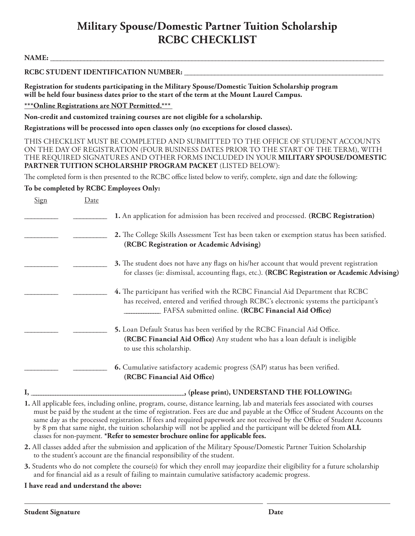## **Military Spouse/Domestic Partner Tuition Scholarship RCBC CHECKLIST**

**NAME: \_\_\_\_\_\_\_\_\_\_\_\_\_\_\_\_\_\_\_\_\_\_\_\_\_\_\_\_\_\_\_\_\_\_\_\_\_\_\_\_\_\_\_\_\_\_\_\_\_\_\_\_\_\_\_\_\_\_\_\_\_\_\_\_\_\_\_\_\_\_\_\_\_\_\_\_\_\_\_\_\_\_\_\_\_\_\_\_\_\_\_\_\_\_\_\_\_\_\_** 

#### RCBC STUDENT IDENTIFICATION NUMBER:

**Registration for students participating in the Military Spouse/Domestic Tuition Scholarship program will be held four business dates prior to the start of the term at the Mount Laurel Campus.** 

**\*\*\*Online Registrations are NOT Permitted.\*\*\*** 

**Non-credit and customized training courses are not eligible for a scholarship.** 

**Registrations will be processed into open classes only (no exceptions for closed classes).** 

THIS CHECKLIST MUST BE COMPLETED AND SUBMITTED TO THE OFFICE OF STUDENT ACCOUNTS ON THE DAY OF REGISTRATION (FOUR BUSINESS DATES PRIOR TO THE START OF THE TERM), WITH THE REQUIRED SIGNATURES AND OTHER FORMS INCLUDED IN YOUR **MILITARY SPOUSE/DOMESTIC PARTNER TUITION SCHOLARSHIP PROGRAM PACKET** (LISTED BELOW):

The completed form is then presented to the RCBC office listed below to verify, complete, sign and date the following:

#### **To be completed by RCBC Employees Only:**

| Sign | Date |                                                                                                                                                                                                                                   |
|------|------|-----------------------------------------------------------------------------------------------------------------------------------------------------------------------------------------------------------------------------------|
|      |      | 1. An application for admission has been received and processed. (RCBC Registration)                                                                                                                                              |
|      |      | 2. The College Skills Assessment Test has been taken or exemption status has been satisfied.<br>(RCBC Registration or Academic Advising)                                                                                          |
|      |      | 3. The student does not have any flags on his/her account that would prevent registration<br>for classes (ie: dismissal, accounting flags, etc.). (RCBC Registration or Academic Advising)                                        |
|      |      | 4. The participant has verified with the RCBC Financial Aid Department that RCBC<br>has received, entered and verified through RCBC's electronic systems the participant's<br>FAFSA submitted online. (RCBC Financial Aid Office) |
|      |      | 5. Loan Default Status has been verified by the RCBC Financial Aid Office.<br>(RCBC Financial Aid Office) Any student who has a loan default is ineligible<br>to use this scholarship.                                            |
|      |      | 6. Cumulative satisfactory academic progress (SAP) status has been verified.<br>(RCBC Financial Aid Office)                                                                                                                       |

**I, \_\_\_\_\_\_\_\_\_\_\_\_\_\_\_\_\_\_\_\_\_\_\_\_\_\_\_\_\_\_\_\_\_\_\_\_\_\_\_\_\_\_\_\_\_\_\_\_\_\_\_\_\_\_\_\_\_\_\_\_\_\_\_\_, (please print), UNDERSTAND THE FOLLOWING:** 

 by 8 pm that same night, the tuition scholarship will not be applied and the participant will be deleted from **ALL 1.** All applicable fees, including online, program, course, distance learning, lab and materials fees associated with courses must be paid by the student at the time of registration. Fees are due and payable at the Office of Student Accounts on the same day as the processed registration. If fees and required paperwork are not received by the Office of Student Accounts classes for non-payment. **\*Refer to semester brochure online for applicable fees.** 

- **2.** All classes added after the submission and application of the Military Spouse/Domestic Partner Tuition Scholarship to the student's account are the fnancial responsibility of the student.
- **3.** Students who do not complete the course(s) for which they enroll may jeopardize their eligibility for a future scholarship and for fnancial aid as a result of failing to maintain cumulative satisfactory academic progress.

#### **I have read and understand the above:**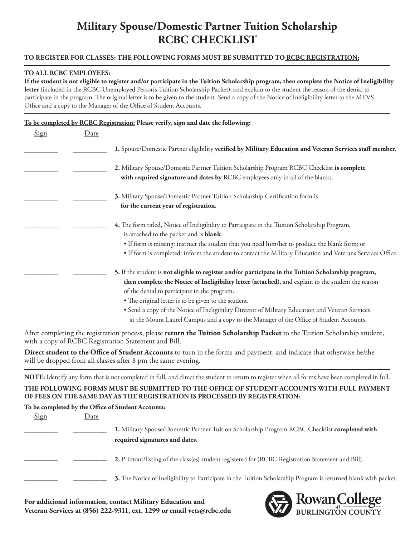# **Military Spouse/Domestic Partner Tuition Scholarship RCBC CHECKLIST**

#### **TO REGISTER FOR CLASSES: THE FOLLOWING FORMS MUST BE SUBMITTED TO RCBC REGISTRATION:**

#### **TO ALL RCBC EMPLOYEES:**

**If the student is not eligible to register and/or participate in the Tuition Scholarship program, then complete the Notice of Ineligibility letter** (included in the RCBC Unemployed Person's Tuition Scholarship Packet), and explain to the student the reason of the denial to participate in the program. The original letter is to be given to the student. Send a copy of the Notice of Ineligibility letter to the MEVS Office and a copy to the Manager of the Office of Student Accounts.

#### **To be completed by RCBC Registration: Please verify, sign and date the following:**

| Sign | Date |                                                                                                                                                                                                            |
|------|------|------------------------------------------------------------------------------------------------------------------------------------------------------------------------------------------------------------|
|      |      | 1. Spouse/Domestic Partner eligibility verified by Military Education and Veteran Services staff member.                                                                                                   |
|      |      | 2. Military Spouse/Domestic Partner Tuition Scholarship Program RCBC Checklist is complete<br>with required signature and dates by RCBC employees only in all of the blanks.                               |
|      |      | 3. Military Spouse/Domestic Partner Tuition Scholarship Certification form is                                                                                                                              |
|      |      | for the current year of registration.                                                                                                                                                                      |
|      |      | 4. The form titled, Notice of Ineligibility to Participate in the Tuition Scholarship Program,<br>is attached to the packet and is <b>blank</b> .                                                          |
|      |      | • If form is missing: instruct the student that you need him/her to produce the blank form; or                                                                                                             |
|      |      | • If form is completed: inform the student to contact the Military Education and Veterans Services Office.                                                                                                 |
|      |      | 5. If the student is not eligible to register and/or participate in the Tuition Scholarship program,<br>then complete the Notice of Ineligibility letter (attached), and explain to the student the reason |
|      |      | of the denial to participate in the program.                                                                                                                                                               |
|      |      | • The original letter is to be given to the student.                                                                                                                                                       |
|      |      | • Send a copy of the Notice of Ineligibility Director of Military Education and Veteran Services                                                                                                           |
|      |      | at the Mount Laurel Campus and a copy to the Manager of the Office of Student Accounts.                                                                                                                    |

After completing the registration process, please **return the Tuition Scholarship Packet** to the Tuition Scholarship student, with a copy of RCBC Registration Statement and Bill.

**Direct student to the Office of Student Accounts** to turn in the forms and payment, and indicate that otherwise he/she will be dropped from all classes after 8 pm the same evening.

**NOTE:** Identify any form that is not completed in full, and direct the student to return to register when all forms have been completed in full.

### **THE FOLLOWING FORMS MUST BE SUBMITTED TO THE OFFICE OF STUDENT ACCOUNTS WITH FULL PAYMENT OF FEES ON THE SAME DAY AS THE REGISTRATION IS PROCESSED BY REGISTRATION:**

#### To be completed by the Office of Student Accounts:

| Sign | Date |                                                                                                                                 |
|------|------|---------------------------------------------------------------------------------------------------------------------------------|
|      |      | 1. Military Spouse/Domestic Partner Tuition Scholarship Program RCBC Checklist completed with<br>required signatures and dates. |
|      |      | 2. Printout/listing of the class(es) student registered for (RCBC Registration Statement and Bill).                             |
|      |      | 3. The Notice of Ineligibility to Participate in the Tuition Scholarship Program is returned blank with packet.                 |

**For additional information, contact Military Education and Veteran Services at (856) 222-9311, ext. 1299 or email [vets@rcbc.edu](mailto:vets@rcbc.edu)**